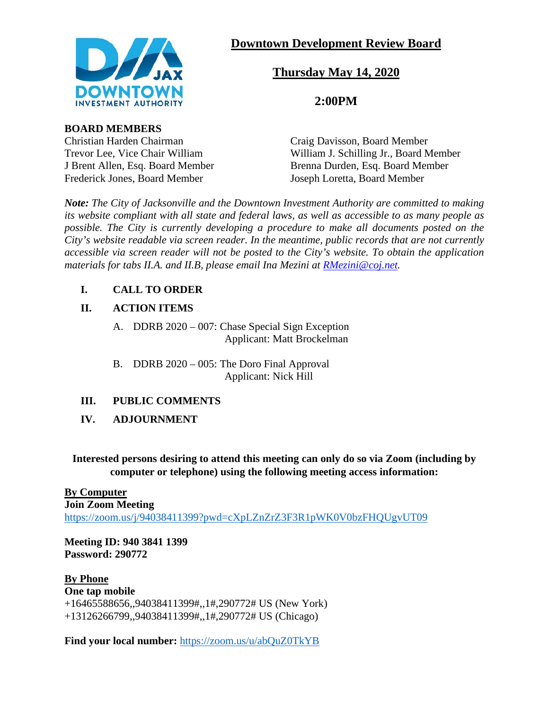

# **Downtown Development Review Board**

# **Thursday May 14, 2020**

## **2:00PM**

**BOARD MEMBERS**

Frederick Jones, Board Member Joseph Loretta, Board Member

Christian Harden Chairman Craig Davisson, Board Member Trevor Lee, Vice Chair William William William J. Schilling Jr., Board Member J Brent Allen, Esq. Board Member Brenna Durden, Esq. Board Member

*Note: The City of Jacksonville and the Downtown Investment Authority are committed to making its website compliant with all state and federal laws, as well as accessible to as many people as possible. The City is currently developing a procedure to make all documents posted on the City's website readable via screen reader. In the meantime, public records that are not currently accessible via screen reader will not be posted to the City's website. To obtain the application materials for tabs II.A. and II.B, please email Ina Mezini at [RMezini@coj.net.](mailto:RMezini@coj.net)*

## **I. CALL TO ORDER**

### **II. ACTION ITEMS**

- A. DDRB 2020 007: Chase Special Sign Exception Applicant: Matt Brockelman
- B. DDRB 2020 005: The Doro Final Approval Applicant: Nick Hill

## **III. PUBLIC COMMENTS**

**IV. ADJOURNMENT**

**Interested persons desiring to attend this meeting can only do so via Zoom (including by computer or telephone) using the following meeting access information:**

### **By Computer**

**Join Zoom Meeting** <https://zoom.us/j/94038411399?pwd=cXpLZnZrZ3F3R1pWK0V0bzFHQUgvUT09>

**Meeting ID: 940 3841 1399 Password: 290772**

## **By Phone**

**One tap mobile** +16465588656,,94038411399#,,1#,290772# US (New York) +13126266799,,94038411399#,,1#,290772# US (Chicago)

**Find your local number:** <https://zoom.us/u/abQuZ0TkYB>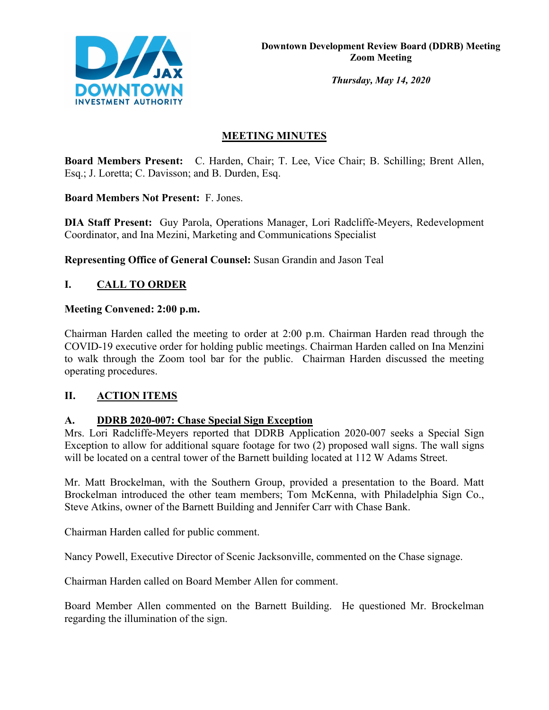

*Thursday, May 14, 2020*

## **MEETING MINUTES**

**Board Members Present:** C. Harden, Chair; T. Lee, Vice Chair; B. Schilling; Brent Allen, Esq.; J. Loretta; C. Davisson; and B. Durden, Esq.

**Board Members Not Present:** F. Jones.

**DIA Staff Present:** Guy Parola, Operations Manager, Lori Radcliffe-Meyers, Redevelopment Coordinator, and Ina Mezini, Marketing and Communications Specialist

**Representing Office of General Counsel:** Susan Grandin and Jason Teal

## **I. CALL TO ORDER**

### **Meeting Convened: 2:00 p.m.**

Chairman Harden called the meeting to order at 2:00 p.m. Chairman Harden read through the COVID-19 executive order for holding public meetings. Chairman Harden called on Ina Menzini to walk through the Zoom tool bar for the public. Chairman Harden discussed the meeting operating procedures.

## **II. ACTION ITEMS**

### **A. DDRB 2020-007: Chase Special Sign Exception**

Mrs. Lori Radcliffe-Meyers reported that DDRB Application 2020-007 seeks a Special Sign Exception to allow for additional square footage for two (2) proposed wall signs. The wall signs will be located on a central tower of the Barnett building located at 112 W Adams Street.

Mr. Matt Brockelman, with the Southern Group, provided a presentation to the Board. Matt Brockelman introduced the other team members; Tom McKenna, with Philadelphia Sign Co., Steve Atkins, owner of the Barnett Building and Jennifer Carr with Chase Bank.

Chairman Harden called for public comment.

Nancy Powell, Executive Director of Scenic Jacksonville, commented on the Chase signage.

Chairman Harden called on Board Member Allen for comment.

Board Member Allen commented on the Barnett Building. He questioned Mr. Brockelman regarding the illumination of the sign.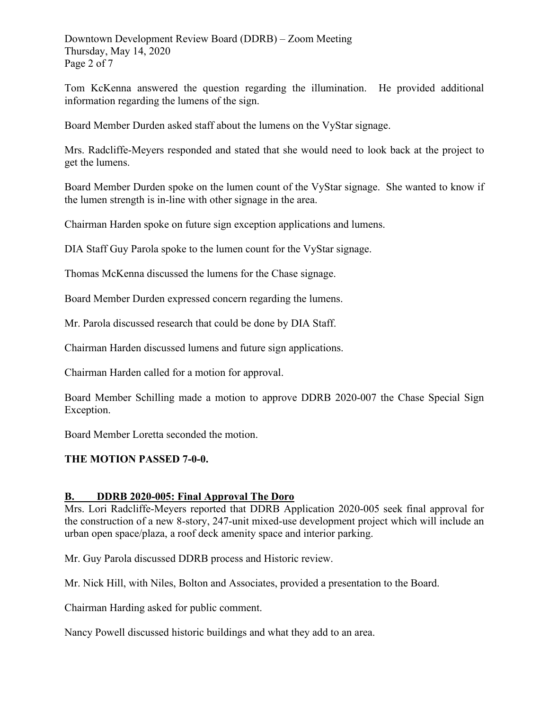Downtown Development Review Board (DDRB) – Zoom Meeting Thursday, May 14, 2020 Page 2 of 7

Tom KcKenna answered the question regarding the illumination. He provided additional information regarding the lumens of the sign.

Board Member Durden asked staff about the lumens on the VyStar signage.

Mrs. Radcliffe-Meyers responded and stated that she would need to look back at the project to get the lumens.

Board Member Durden spoke on the lumen count of the VyStar signage. She wanted to know if the lumen strength is in-line with other signage in the area.

Chairman Harden spoke on future sign exception applications and lumens.

DIA Staff Guy Parola spoke to the lumen count for the VyStar signage.

Thomas McKenna discussed the lumens for the Chase signage.

Board Member Durden expressed concern regarding the lumens.

Mr. Parola discussed research that could be done by DIA Staff.

Chairman Harden discussed lumens and future sign applications.

Chairman Harden called for a motion for approval.

Board Member Schilling made a motion to approve DDRB 2020-007 the Chase Special Sign Exception.

Board Member Loretta seconded the motion.

### **THE MOTION PASSED 7-0-0.**

### **B. DDRB 2020-005: Final Approval The Doro**

Mrs. Lori Radcliffe-Meyers reported that DDRB Application 2020-005 seek final approval for the construction of a new 8-story, 247-unit mixed-use development project which will include an urban open space/plaza, a roof deck amenity space and interior parking.

Mr. Guy Parola discussed DDRB process and Historic review.

Mr. Nick Hill, with Niles, Bolton and Associates, provided a presentation to the Board.

Chairman Harding asked for public comment.

Nancy Powell discussed historic buildings and what they add to an area.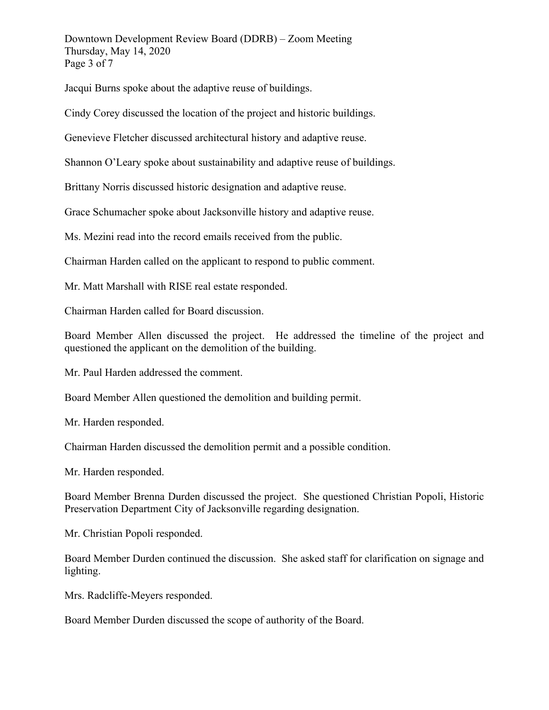Downtown Development Review Board (DDRB) – Zoom Meeting Thursday, May 14, 2020 Page 3 of 7

Jacqui Burns spoke about the adaptive reuse of buildings.

Cindy Corey discussed the location of the project and historic buildings.

Genevieve Fletcher discussed architectural history and adaptive reuse.

Shannon O'Leary spoke about sustainability and adaptive reuse of buildings.

Brittany Norris discussed historic designation and adaptive reuse.

Grace Schumacher spoke about Jacksonville history and adaptive reuse.

Ms. Mezini read into the record emails received from the public.

Chairman Harden called on the applicant to respond to public comment.

Mr. Matt Marshall with RISE real estate responded.

Chairman Harden called for Board discussion.

Board Member Allen discussed the project. He addressed the timeline of the project and questioned the applicant on the demolition of the building.

Mr. Paul Harden addressed the comment.

Board Member Allen questioned the demolition and building permit.

Mr. Harden responded.

Chairman Harden discussed the demolition permit and a possible condition.

Mr. Harden responded.

Board Member Brenna Durden discussed the project. She questioned Christian Popoli, Historic Preservation Department City of Jacksonville regarding designation.

Mr. Christian Popoli responded.

Board Member Durden continued the discussion. She asked staff for clarification on signage and lighting.

Mrs. Radcliffe-Meyers responded.

Board Member Durden discussed the scope of authority of the Board.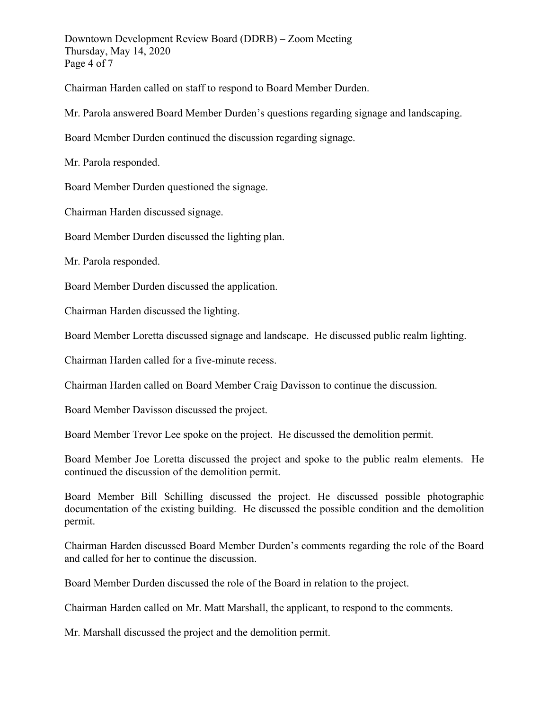Downtown Development Review Board (DDRB) – Zoom Meeting Thursday, May 14, 2020 Page 4 of 7

Chairman Harden called on staff to respond to Board Member Durden.

Mr. Parola answered Board Member Durden's questions regarding signage and landscaping.

Board Member Durden continued the discussion regarding signage.

Mr. Parola responded.

Board Member Durden questioned the signage.

Chairman Harden discussed signage.

Board Member Durden discussed the lighting plan.

Mr. Parola responded.

Board Member Durden discussed the application.

Chairman Harden discussed the lighting.

Board Member Loretta discussed signage and landscape. He discussed public realm lighting.

Chairman Harden called for a five-minute recess.

Chairman Harden called on Board Member Craig Davisson to continue the discussion.

Board Member Davisson discussed the project.

Board Member Trevor Lee spoke on the project. He discussed the demolition permit.

Board Member Joe Loretta discussed the project and spoke to the public realm elements. He continued the discussion of the demolition permit.

Board Member Bill Schilling discussed the project. He discussed possible photographic documentation of the existing building. He discussed the possible condition and the demolition permit.

Chairman Harden discussed Board Member Durden's comments regarding the role of the Board and called for her to continue the discussion.

Board Member Durden discussed the role of the Board in relation to the project.

Chairman Harden called on Mr. Matt Marshall, the applicant, to respond to the comments.

Mr. Marshall discussed the project and the demolition permit.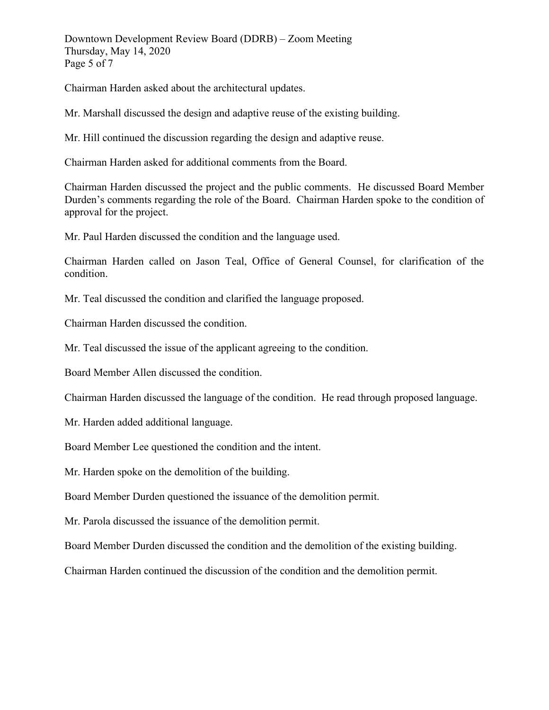Downtown Development Review Board (DDRB) – Zoom Meeting Thursday, May 14, 2020 Page 5 of 7

Chairman Harden asked about the architectural updates.

Mr. Marshall discussed the design and adaptive reuse of the existing building.

Mr. Hill continued the discussion regarding the design and adaptive reuse.

Chairman Harden asked for additional comments from the Board.

Chairman Harden discussed the project and the public comments. He discussed Board Member Durden's comments regarding the role of the Board. Chairman Harden spoke to the condition of approval for the project.

Mr. Paul Harden discussed the condition and the language used.

Chairman Harden called on Jason Teal, Office of General Counsel, for clarification of the condition.

Mr. Teal discussed the condition and clarified the language proposed.

Chairman Harden discussed the condition.

Mr. Teal discussed the issue of the applicant agreeing to the condition.

Board Member Allen discussed the condition.

Chairman Harden discussed the language of the condition. He read through proposed language.

Mr. Harden added additional language.

Board Member Lee questioned the condition and the intent.

Mr. Harden spoke on the demolition of the building.

Board Member Durden questioned the issuance of the demolition permit.

Mr. Parola discussed the issuance of the demolition permit.

Board Member Durden discussed the condition and the demolition of the existing building.

Chairman Harden continued the discussion of the condition and the demolition permit.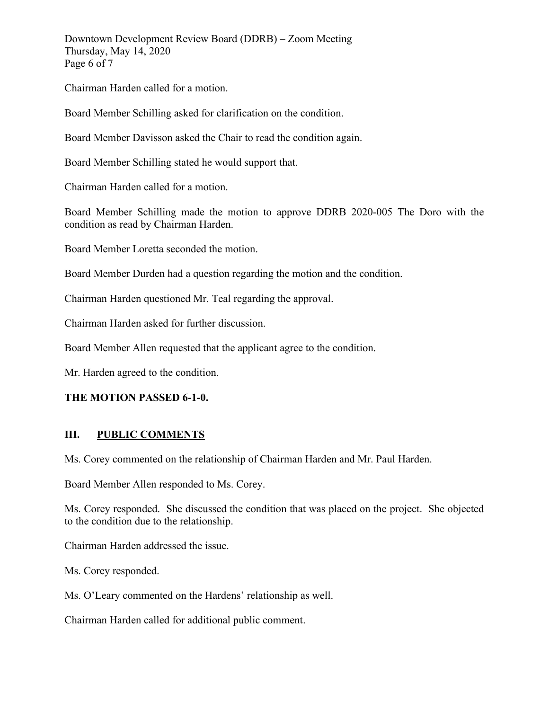Downtown Development Review Board (DDRB) – Zoom Meeting Thursday, May 14, 2020 Page 6 of 7

Chairman Harden called for a motion.

Board Member Schilling asked for clarification on the condition.

Board Member Davisson asked the Chair to read the condition again.

Board Member Schilling stated he would support that.

Chairman Harden called for a motion.

Board Member Schilling made the motion to approve DDRB 2020-005 The Doro with the condition as read by Chairman Harden.

Board Member Loretta seconded the motion.

Board Member Durden had a question regarding the motion and the condition.

Chairman Harden questioned Mr. Teal regarding the approval.

Chairman Harden asked for further discussion.

Board Member Allen requested that the applicant agree to the condition.

Mr. Harden agreed to the condition.

### **THE MOTION PASSED 6-1-0.**

### **III. PUBLIC COMMENTS**

Ms. Corey commented on the relationship of Chairman Harden and Mr. Paul Harden.

Board Member Allen responded to Ms. Corey.

Ms. Corey responded. She discussed the condition that was placed on the project. She objected to the condition due to the relationship.

Chairman Harden addressed the issue.

Ms. Corey responded.

Ms. O'Leary commented on the Hardens' relationship as well.

Chairman Harden called for additional public comment.